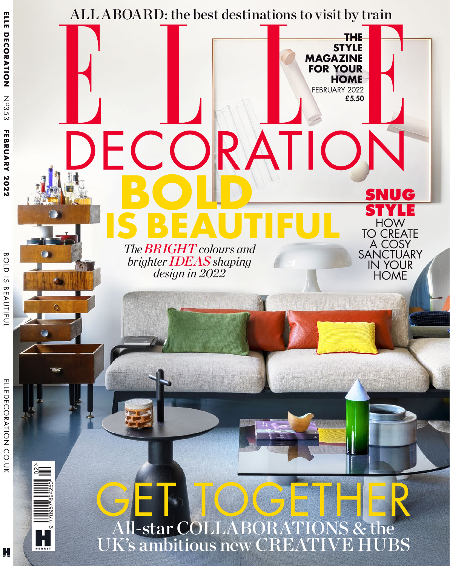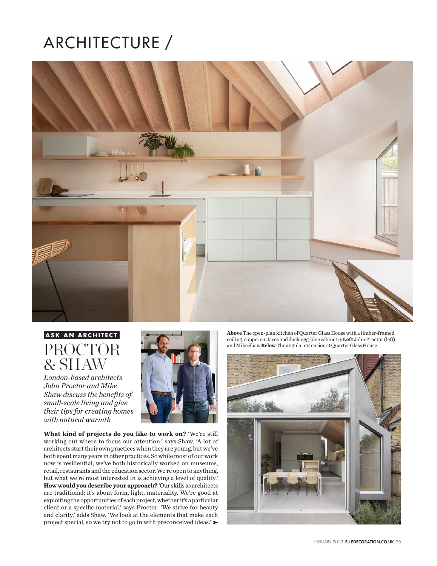## ARCHITECTURE /



## **ASK AN ARCHITECT** PROCTOR & SHAW

*London-based architects John Proctor and Mike Shaw discuss the benefits of small-scale living and give their tips for creating homes with natural warmth*



**What kind of projects do you like to work on?** 'We're still working out where to focus our attention,' says Shaw. 'A lot of architects start their own practices when they are young, but we've both spent many years in other practices. So while most of our work now is residential, we've both historically worked on museums, retail, restaurants and the education sector. We're open to anything, but what we're most interested in is achieving a level of quality.' **How would you describe your approach?** 'Our skills as architects are traditional; it's about form, light, materiality. We're good at exploiting the opportunities of each project, whether it's a particular client or a specific material,' says Proctor. 'We strive for beauty and clarity,' adds Shaw. 'We look at the elements that make each project special, so we try not to go in with preconceived ideas.'

**Above** The open-plan kitchen of Quarter Glass House with a timber-framed ceiling, copper surfaces and duck-egg-blue cabinetry **Left** John Proctor (left) and Mike Shaw **Below** The angular extension at Quarter Glass House